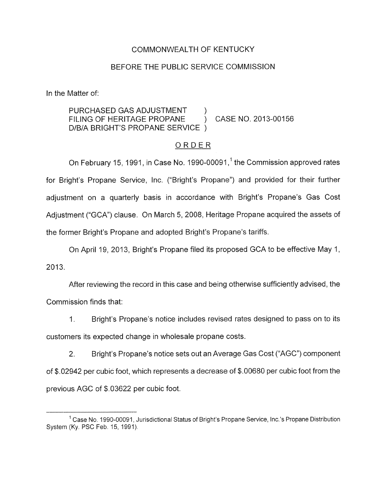## COMMONWEALTH OF KENTUCKY

#### BEFORE THE PUBLIC SERVICE COMMISSION

In the Matter of:

### PURCHASED GAS ADJUSTMENT D/B/A BRIGHT'S PROPANE SERVICE ) FILING OF HERITAGE PROPANE ) CASE NO. 2013-00156

#### ORDER

On February 15, 1991, in Case No. 1990-00091, $<sup>1</sup>$  the Commission approved rates</sup> for Bright's Propane Service, Inc. ("Bright's Propane") and provided for their further adjustment on a quarterly basis in accordance with Bright's Propane's Gas Cost Adjustment ("GCA") clause. On March 5, 2008, Heritage Propane acquired the assets of the former Bright's Propane and adopted Bright's Propane's tariffs.

On April 19, 2013, Bright's Propane filed its proposed GCA to be effective May 1, 2013.

After reviewing the record in this case and being otherwise sufficiently advised, the Commission finds that:

1. Bright's Propane's notice includes revised rates designed to pass on to its customers its expected change in wholesale propane costs

2. Bright's Propane's notice sets out an Average Gas Cost ("AGC'') component of \$.02942 per cubic foot, which represents a decrease of \$.00680 per cubic foot from the previous AGC of \$.03622 per cubic foot.

<sup>&</sup>lt;sup>1</sup> Case No. 1990-00091, Jurisdictional Status of Bright's Propane Service, Inc.'s Propane Distribution System (Ky. PSC Feh. 15, 1991)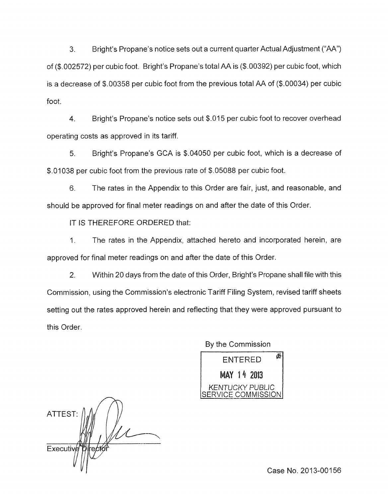3. Bright's Propane's notice sets out a current quarter Actual Adjustment ("A"') of (\$.002572) per cubic foot. Bright's Propane's total AA is (\$.00392) per cubic foot, which is a decrease of \$.00358 per cubic foot from the previous total AA of (\$.00034) per cubic foot.

4. Bright's Propane's notice sets out \$.Q15 per cubic foot to recover overhead operating costs as approved in its tariff.

*5.* Bright's Propane's GCA is \$.04050 per cubic foot, which is a decrease of \$.01038 per cubic foot from the previous rate of \$.05088 per cubic foot.

*6.* The rates in the Appendix to this Order are fair, just, and reasonable, and should be approved for final meter readings on and after the date of this Order.

IT IS THEREFORE ORDERED that:

1. The rates in the Appendix, attached hereto and incorporated herein, are approved for final meter readings on and after the date of this Order.

2. Within 20 days from the date of this Order, Bright's Propane shall file with this Commission, using the Commission's electronic Tariff Filing System, revised tariff sheets setting out the rates approved herein and reflecting that they were approved pursuant to this Order.

By the Commission 卧 **ENTERED** MAY 14 2013 *KENTUCKY* PUBLIC  $\overline{\overline{\text{SE}}}$ 

ATTEST: **Executiv** 

Case No. 2013-00156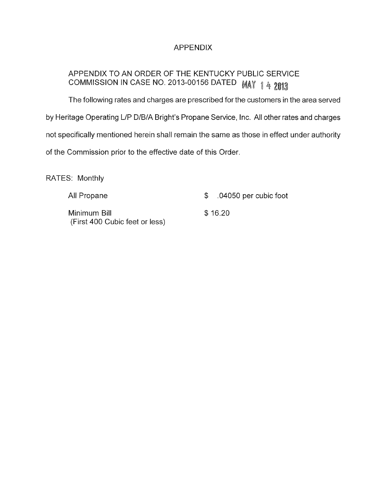# APPENDIX

# APPENDIX TO AN ORDER OF THE KENTUCKY PUBLIC SERVICE COMMISSION IN CASE NO. 2013-00156 DATED MAY 14 2013

The following rates and charges are prescribed for the customers in the area served by Heritage Operating L/P D/B/A Bright's Propane Service, Inc. All other rates and charges not specifically mentioned herein shall remain the same as those in effect under authority of the Commission prior to the effective date of this Order

RATES: Monthly

| All Propane                                    |         | $$.04050$ per cubic foot |
|------------------------------------------------|---------|--------------------------|
| Minimum Bill<br>(First 400 Cubic feet or less) | \$16.20 |                          |